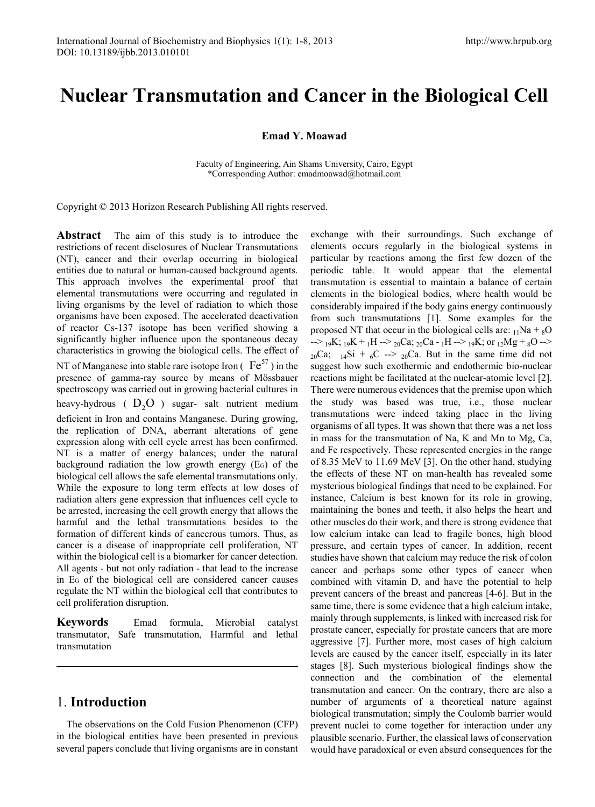# **Nuclear Transmutation and Cancer in the Biological Cell**

**Emad Y. Moawad**

Faculty of Engineering, Ain Shams University, Cairo, Egypt \*Corresponding Author: emadmoawad@hotmail.com

Copyright © 2013 Horizon Research Publishing All rights reserved.

**Abstract** The aim of this study is to introduce the restrictions of recent disclosures of Nuclear Transmutations (NT), cancer and their overlap occurring in biological entities due to natural or human-caused background agents. This approach involves the experimental proof that elemental transmutations were occurring and regulated in living organisms by the level of radiation to which those organisms have been exposed. The accelerated deactivation of reactor Cs-137 isotope has been verified showing a significantly higher influence upon the spontaneous decay characteristics in growing the biological cells. The effect of NT of Manganese into stable rare isotope Iron ( $Fe^{57}$ ) in the presence of gamma-ray source by means of Mössbauer spectroscopy was carried out in growing bacterial cultures in heavy-hydrous ( $D_2O$ ) sugar- salt nutrient medium deficient in Iron and contains Manganese. During growing, the replication of DNA, aberrant alterations of gene expression along with cell cycle arrest has been confirmed. NT is a matter of energy balances; under the natural background radiation the low growth energy (EG) of the biological cell allows the safe elemental transmutations only. While the exposure to long term effects at low doses of radiation alters gene expression that influences cell cycle to be arrested, increasing the cell growth energy that allows the harmful and the lethal transmutations besides to the formation of different kinds of cancerous tumors. Thus, as cancer is a disease of inappropriate cell proliferation, NT within the biological cell is a biomarker for cancer detection. All agents - but not only radiation - that lead to the increase in EG of the biological cell are considered cancer causes regulate the NT within the biological cell that contributes to cell proliferation disruption.

**Keywords** Emad formula, Microbial catalyst transmutator, Safe transmutation, Harmful and lethal transmutation

# 1. **Introduction**

The observations on the Cold Fusion Phenomenon (CFP) in the biological entities have been presented in previous several papers conclude that living organisms are in constant

exchange with their surroundings. Such exchange of elements occurs regularly in the biological systems in particular by reactions among the first few dozen of the periodic table. It would appear that the elemental transmutation is essential to maintain a balance of certain elements in the biological bodies, where health would be considerably impaired if the body gains energy continuously from such transmutations [1]. Some examples for the proposed NT that occur in the biological cells are:  $_{11}$ Na +  $_{8}$ O  $\rightarrow$  19K; 19K + 1H --> 20Ca; 20Ca - 1H --> 19K; or 12Mg + 8O -->  $_{20}Ca$ ;  $_{14}Si + _{6}C$  -->  $_{20}Ca$ . But in the same time did not suggest how such exothermic and endothermic bio-nuclear reactions might be facilitated at the nuclear-atomic level [2]. There were numerous evidences that the premise upon which the study was based was true, i.e., those nuclear transmutations were indeed taking place in the living organisms of all types. It was shown that there was a net loss in mass for the transmutation of Na, K and Mn to Mg, Ca, and Fe respectively. These represented energies in the range of 8.35 MeV to 11.69 MeV [3]. On the other hand, studying the effects of these NT on man-health has revealed some mysterious biological findings that need to be explained. For instance, Calcium is best known for its role in growing, maintaining the bones and teeth, it also helps the heart and other muscles do their work, and there is strong evidence that low calcium intake can lead to fragile bones, high blood pressure, and certain types of cancer. In addition, recent studies have shown that calcium may reduce the risk of colon cancer and perhaps some other types of cancer when combined with vitamin D, and have the potential to help prevent cancers of the breast and pancreas [4-6]. But in the same time, there is some evidence that a high calcium intake, mainly through supplements, is linked with increased risk for prostate cancer, especially for prostate cancers that are more aggressive [7]. Further more, most cases of high calcium levels are caused by the cancer itself, especially in its later stages [8]. Such mysterious biological findings show the connection and the combination of the elemental transmutation and cancer. On the contrary, there are also a number of arguments of a theoretical nature against biological transmutation; simply the Coulomb barrier would prevent nuclei to come together for interaction under any plausible scenario. Further, the classical laws of conservation would have paradoxical or even absurd consequences for the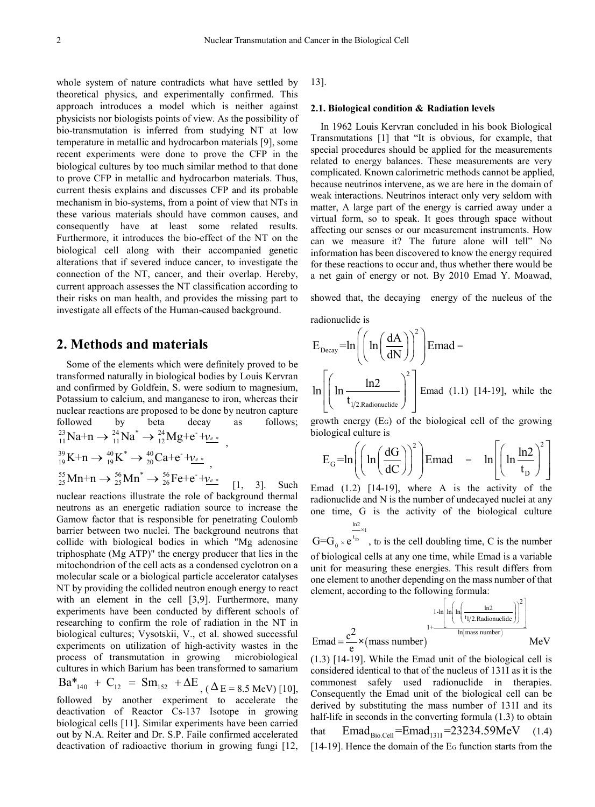whole system of nature contradicts what have settled by theoretical physics, and experimentally confirmed. This approach introduces a model which is neither against physicists nor biologists points of view. As the possibility of bio-transmutation is inferred from studying NT at low temperature in metallic and hydrocarbon materials [9], some recent experiments were done to prove the CFP in the biological cultures by too much similar method to that done to prove CFP in metallic and hydrocarbon materials. Thus, current thesis explains and discusses CFP and its probable mechanism in bio-systems, from a point of view that NTs in these various materials should have common causes, and consequently have at least some related results. Furthermore, it introduces the bio-effect of the NT on the biological cell along with their accompanied genetic alterations that if severed induce cancer, to investigate the connection of the NT, cancer, and their overlap. Hereby, current approach assesses the NT classification according to their risks on man health, and provides the missing part to investigate all effects of the Human-caused background.

# **2. Methods and materials**

Some of the elements which were definitely proved to be transformed naturally in biological bodies by Louis Kervran and confirmed by Goldfein, S. were sodium to magnesium, Potassium to calcium, and manganese to iron, whereas their nuclear reactions are proposed to be done by neutron capture followed by beta decay as follows;  $^{23}_{11}$ Na+n  $\rightarrow$   $^{24}_{11}$ Na<sup>\*</sup>  $\rightarrow$   $^{24}_{12}$ Mg+e<sup>-</sup>+ $v_{e*}$ <sub>,</sub>  $^{39}_{19}$ K+n  $\rightarrow$   $^{40}_{19}$ K<sup>\*</sup>  $\rightarrow$   $^{40}_{20}$ Ca+e<sup>-</sup> + $v_{e}$ <sup>\*</sup>,  ${}^{55}_{25}$ Mn+n →  ${}^{56}_{25}$ Mn<sup>\*</sup> →  ${}^{56}_{26}$ Fe+e<sup>-</sup>+ ${}^{1}$ <sub>Le</sub> \*</sup> [1, 3]. Such

nuclear reactions illustrate the role of background thermal neutrons as an energetic radiation source to increase the Gamow factor that is responsible for penetrating Coulomb barrier between two nuclei. The background neutrons that collide with biological bodies in which "Mg adenosine triphosphate (Mg ATP)" the energy producer that lies in the mitochondrion of the cell acts as a condensed cyclotron on a molecular scale or a biological particle accelerator catalyses NT by providing the collided neutron enough energy to react with an element in the cell [3,9]. Furthermore, many experiments have been conducted by different schools of researching to confirm the role of radiation in the NT in biological cultures; Vysotskii, V., et al. showed successful experiments on utilization of high-activity wastes in the process of transmutation in growing microbiological cultures in which Barium has been transformed to samarium  $Ba^*_{140} + C_{12} = Sm_{152} + \Delta E_{(A E = 8.5 \text{ MeV})}$  [10], followed by another experiment to accelerate the

deactivation of Reactor Cs-137 Isotope in growing biological cells [11]. Similar experiments have been carried out by N.A. Reiter and Dr. S.P. Faile confirmed accelerated deactivation of radioactive thorium in growing fungi [12,

13].

#### **2.1. Biological condition & Radiation levels**

In 1962 Louis Kervran concluded in his book Biological Transmutations [1] that "It is obvious, for example, that special procedures should be applied for the measurements related to energy balances. These measurements are very complicated. Known calorimetric methods cannot be applied, because neutrinos intervene, as we are here in the domain of weak interactions. Neutrinos interact only very seldom with matter, A large part of the energy is carried away under a virtual form, so to speak. It goes through space without affecting our senses or our measurement instruments. How can we measure it? The future alone will tell" No information has been discovered to know the energy required for these reactions to occur and, thus whether there would be a net gain of energy or not. By 2010 Emad Y. Moawad,

showed that, the decaying energy of the nucleus of the

radionuclide is

$$
E_{\text{Decay}} = \ln\left(\left(\ln\left(\frac{dA}{dN}\right)\right)^{2}\right) \text{Emad} =
$$

$$
\ln\left[\left(\ln\frac{\ln 2}{t_{1/2 \text{.Radionucide}}}\right)^{2}\right] \text{Emad} \quad (1.1) \text{ [14-19], while the}
$$

growth energy (EG) of the biological cell of the growing biological culture is

$$
E_G = \ln\left(\left(\ln\left(\frac{dG}{dC}\right)\right)^2\right) \text{Emad} = \ln\left[\left(\ln\frac{\ln 2}{t_D}\right)^2\right]
$$

Emad  $(1.2)$  [14-19], where A is the activity of the radionuclide and N is the number of undecayed nuclei at any one time, G is the activity of the biological culture ln2 ×t

 $t_D$  $\mathbf 0$  $G = G_0 \times e^{t_D}$ , to is the cell doubling time, C is the number of biological cells at any one time, while Emad is a variable unit for measuring these energies. This result differs from one element to another depending on the mass number of that element, according to the following formula:

$$
Emad = \frac{c^2}{e} \times (mass number)
$$
\n
$$
1 + \frac{1 - ln \left( ln \left( \frac{ln2}{t_1 / 2. \text{Radionuclide}} \right) \right)^2}{ln \left( \frac{max number}{t_1 / 2. \text{Radionuclide}} \right)} \right)} \text{MeV}
$$

(1.3) [14-19]. While the Emad unit of the biological cell is considered identical to that of the nucleus of 131I as it is the commonest safely used radionuclide in therapies. Consequently the Emad unit of the biological cell can be derived by substituting the mass number of 131I and its half-life in seconds in the converting formula  $(1.3)$  to obtain that  $\text{Emad}_{\text{Bio.Cell}} = \text{Emad}_{1311} = 23234.59 \text{ MeV}$  (1.4) [14-19]. Hence the domain of the EG function starts from the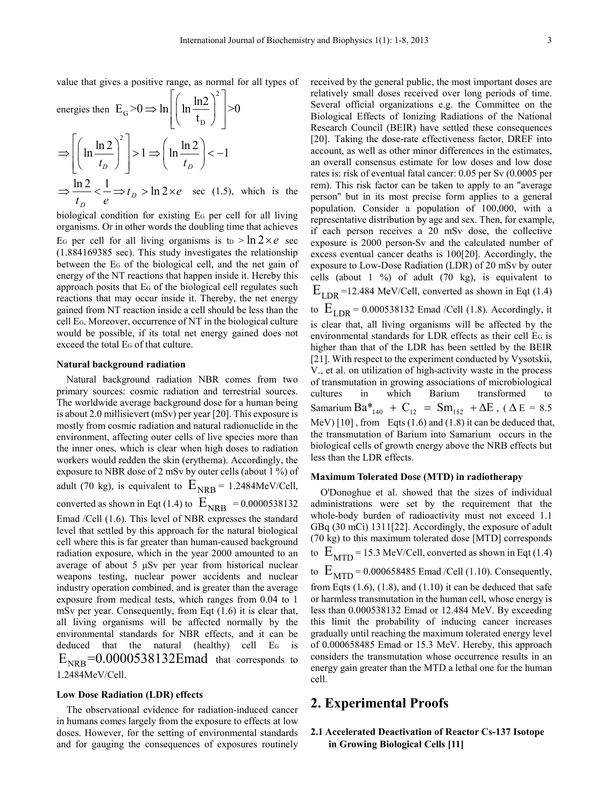value that gives a positive range, as normal for all types of

energies then 
$$
E_G > 0 \Rightarrow \ln \left[ \left( \ln \frac{\ln 2}{t_D} \right)^2 \right] > 0
$$
  
\n
$$
\Rightarrow \left[ \left( \ln \frac{\ln 2}{t_D} \right)^2 \right] > 1 \Rightarrow \left( \ln \frac{\ln 2}{t_D} \right) < -1
$$
\n
$$
\Rightarrow \frac{\ln 2}{t_D} < \frac{1}{e} \Rightarrow t_D > \ln 2 \times e \quad \text{sec (1.5), which is the}
$$

biological condition for existing EG per cell for all living organisms. Or in other words the doubling time that achieves E<sub>G</sub> per cell for all living organisms is t<sub>D</sub> >  $\ln 2 \times e$  sec (1.884169385 sec). This study investigates the relationship between the EG of the biological cell, and the net gain of energy of the NT reactions that happen inside it. Hereby this approach posits that EG of the biological cell regulates such reactions that may occur inside it. Thereby, the net energy gained from NT reaction inside a cell should be less than the cell EG. Moreover, occurrence of NT in the biological culture would be possible, if its total net energy gained does not exceed the total EG of that culture.

#### **Natural background radiation**

Natural background radiation NBR comes from two primary sources: cosmic radiation and terrestrial sources. The worldwide average background dose for a human being is about 2.0 millisievert (mSv) per year [20]. This exposure is mostly from cosmic radiation and natural radionuclide in the environment, affecting outer cells of live species more than the inner ones, which is clear when high doses to radiation workers would redden the skin (erythema). Accordingly, the exposure to NBR dose of 2 mSv by outer cells (about 1 %) of adult (70 kg), is equivalent to  $E_{NRB}$  = 1.2484MeV/Cell, converted as shown in Eqt (1.4) to  $E_{NRR} = 0.0000538132$ Emad /Cell (1.6). This level of NBR expresses the standard level that settled by this approach for the natural biological cell where this is far greater than human-caused background radiation exposure, which in the year 2000 amounted to an average of about 5 μSv per year from historical nuclear weapons testing, nuclear power accidents and nuclear industry operation combined, and is greater than the average exposure from medical tests, which ranges from 0.04 to 1 mSv per year. Consequently, from Eqt (1.6) it is clear that, all living organisms will be affected normally by the environmental standards for NBR effects, and it can be deduced that the natural (healthy) cell E<sub>G</sub> is  $E_{NRB}$ =0.0000538132Emad that corresponds to 1.2484MeV/Cell.

#### **Low Dose Radiation (LDR) effects**

The observational evidence for radiation-induced cancer in humans comes largely from the exposure to effects at low doses. However, for the setting of environmental standards and for gauging the consequences of exposures routinely received by the general public, the most important doses are relatively small doses received over long periods of time. Several official organizations e.g. the Committee on the Biological Effects of Ionizing Radiations of the National Research Council (BEIR) have settled these consequences [20]. Taking the dose-rate effectiveness factor, DREF into account, as well as other minor differences in the estimates, an overall consensus estimate for low doses and low dose rates is: risk of eventual fatal cancer: 0.05 per Sv (0.0005 per rem). This risk factor can be taken to apply to an "average person" but in its most precise form applies to a general population. Consider a population of 100,000, with a representative distribution by age and sex. Then, for example, if each person receives a 20 mSv dose, the collective exposure is 2000 person-Sv and the calculated number of excess eventual cancer deaths is 100[20]. Accordingly, the exposure to Low-Dose Radiation (LDR) of 20 mSv by outer cells (about  $1 \frac{9}{0}$ ) of adult (70 kg), is equivalent to  $E_{LDR}$  =12.484 MeV/Cell, converted as shown in Eqt (1.4) to  $E_{LDR}$  = 0.000538132 Emad /Cell (1.8). Accordingly, it is clear that, all living organisms will be affected by the environmental standards for LDR effects as their cell EG is higher than that of the LDR has been settled by the BEIR [21]. With respect to the experiment conducted by Vysotskii, V., et al. on utilization of high-activity waste in the process of transmutation in growing associations of microbiological cultures in which Barium transformed to Samarium Ba $*_{140}$  + C<sub>12</sub> = Sm<sub>152</sub> +  $\Delta E$ , ( $\Delta E$  = 8.5 MeV) [10], from Eqts (1.6) and (1.8) it can be deduced that, the transmutation of Barium into Samarium occurs in the biological cells of growth energy above the NRB effects but less than the LDR effects.

#### **Maximum Tolerated Dose (MTD) in radiotherapy**

O'Donoghue et al. showed that the sizes of individual administrations were set by the requirement that the whole-body burden of radioactivity must not exceed 1.1 GBq (30 mCi) 1311[22]. Accordingly, the exposure of adult (70 kg) to this maximum tolerated dose [MTD] corresponds to  $E_{\text{MTD}}$  = 15.3 MeV/Cell, converted as shown in Eqt (1.4) to  $E_{\text{MTD}}$  = 0.000658485 Emad /Cell (1.10). Consequently, from Eqts  $(1.6)$ ,  $(1.8)$ , and  $(1.10)$  it can be deduced that safe or harmless transmutation in the human cell, whose energy is less than 0.000538132 Emad or 12.484 MeV. By exceeding this limit the probability of inducing cancer increases gradually until reaching the maximum tolerated energy level of 0.000658485 Emad or 15.3 MeV. Hereby, this approach considers the transmutation whose occurrence results in an energy gain greater than the MTD a lethal one for the human cell.

## **2. Experimental Proofs**

### **2.1 Accelerated Deactivation of Reactor Cs-137 Isotope in Growing Biological Cells [11]**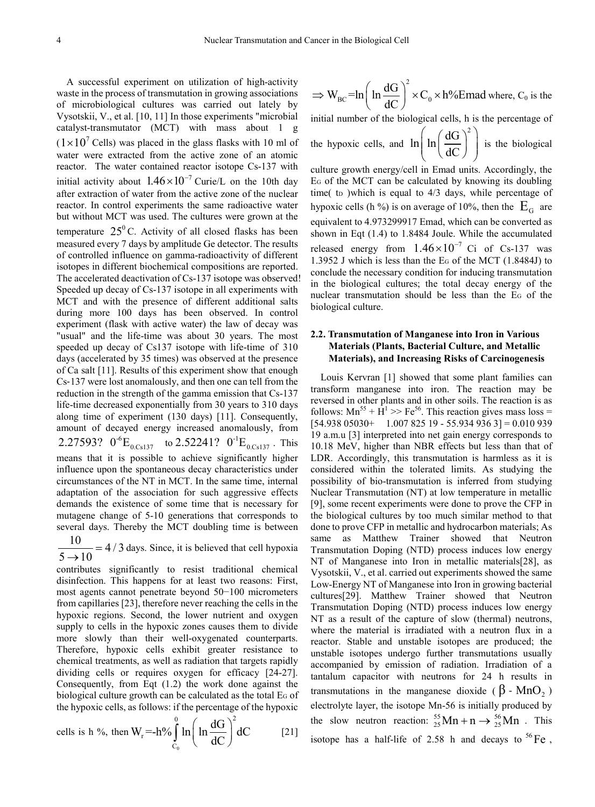A successful experiment on utilization of high-activity waste in the process of transmutation in growing associations of microbiological cultures was carried out lately by Vysotskii, V., et al. [10, 11] In those experiments "microbial catalyst-transmutator (MCT) with mass about 1 g  $(1 \times 10^7 \text{ Cells})$  was placed in the glass flasks with 10 ml of water were extracted from the active zone of an atomic reactor. The water contained reactor isotope Cs-137 with initial activity about  $1.46 \times 10^{-7}$  Curie/L on the 10th day after extraction of water from the active zone of the nuclear reactor. In control experiments the same radioactive water but without MCT was used. The cultures were grown at the temperature  $25^{\circ}$ C. Activity of all closed flasks has been measured every 7 days by amplitude Ge detector. The results of controlled influence on gamma-radioactivity of different isotopes in different biochemical compositions are reported. The accelerated deactivation of Cs-137 isotope was observed! Speeded up decay of Cs-137 isotope in all experiments with MCT and with the presence of different additional salts during more 100 days has been observed. In control experiment (flask with active water) the law of decay was "usual" and the life-time was about 30 years. The most speeded up decay of Cs137 isotope with life-time of 310 days (accelerated by 35 times) was observed at the presence of Ca salt [11]. Results of this experiment show that enough Cs‐137 were lost anomalously, and then one can tell from the reduction in the strength of the gamma emission that Cs-137 life-time decreased exponentially from 30 years to 310 days along time of experiment (130 days) [11]. Consequently, amount of decayed energy increased anomalously, from 2.27593?  $0^{-6}E_{0.}$ <sub>6.6137</sub> to 2.52241?  $0^{-1}E_{0.}$ <sub>6.6137</sub>. This means that it is possible to achieve significantly higher influence upon the spontaneous decay characteristics under circumstances of the NT in MCT. In the same time, internal adaptation of the association for such aggressive effects demands the existence of some time that is necessary for mutagene change of 5-10 generations that corresponds to several days. Thereby the MCT doubling time is between

 $\frac{10}{5 \rightarrow 10}$  = 4/3 days. Since, it is believed that cell hypoxia

contributes significantly to resist traditional chemical disinfection. This happens for at least two reasons: First, most agents cannot penetrate beyond 50−100 micrometers from capillaries [23], therefore never reaching the cells in the hypoxic regions. Second, the lower nutrient and oxygen supply to cells in the hypoxic zones causes them to divide more slowly than their well-oxygenated counterparts. Therefore, hypoxic cells exhibit greater resistance to chemical treatments, as well as radiation that targets rapidly dividing cells or requires oxygen for efficacy [24-27]. Consequently, from Eqt (1.2) the work done against the biological culture growth can be calculated as the total EG of the hypoxic cells, as follows: if the percentage of the hypoxic

cells is h %, then  $\boldsymbol{0}$ 0  $(10^2$ r C  $W_r = -h\% \int ln \left( ln \frac{dG}{dE} \right)^2 dC$  $\int_{C_0}^{0} \ln\left(\ln \frac{dG}{dC}\right)^2 dC$  [21]

$$
\Rightarrow W_{BC} = \ln \left( \ln \frac{dG}{dC} \right)^2 \times C_0 \times h\% \text{Emad where, } C_0 \text{ is the}
$$

initial number of the biological cells, h is the percentage of

the hypoxic cells, and 
$$
\ln\left(\ln\left(\frac{dG}{dC}\right)^2\right)
$$
 is the biological

culture growth energy/cell in Emad units. Accordingly, the EG of the MCT can be calculated by knowing its doubling time( to )which is equal to  $4/3$  days, while percentage of hypoxic cells (h %) is on average of 10%, then the  $E<sub>G</sub>$  are equivalent to 4.973299917 Emad, which can be converted as shown in Eqt (1.4) to 1.8484 Joule. While the accumulated released energy from  $1.46 \times 10^{-7}$  Ci of Cs-137 was 1.3952 J which is less than the EG of the MCT (1.8484J) to conclude the necessary condition for inducing transmutation in the biological cultures; the total decay energy of the nuclear transmutation should be less than the EG of the biological culture.

#### **2.2. Transmutation of Manganese into Iron in Various Materials (Plants, Bacterial Culture, and Metallic Materials), and Increasing Risks of Carcinogenesis**

Louis Kervran [1] showed that some plant families can transform manganese into iron. The reaction may be reversed in other plants and in other soils. The reaction is as follows:  $Mn^{55} + H^1 \gg Fe^{56}$ . This reaction gives mass loss =  $[54.938\,05030+$  1.007 825 19 - 55.934 936 3] = 0.010 939 19 a.m.u [3] interpreted into net gain energy corresponds to 10.18 MeV, higher than NBR effects but less than that of LDR. Accordingly, this transmutation is harmless as it is considered within the tolerated limits. As studying the possibility of bio-transmutation is inferred from studying Nuclear Transmutation (NT) at low temperature in metallic [9], some recent experiments were done to prove the CFP in the biological cultures by too much similar method to that done to prove CFP in metallic and hydrocarbon materials; As same as Matthew Trainer showed that Neutron Transmutation Doping (NTD) process induces low energy NT of Manganese into Iron in metallic materials[28], as Vysotskii, V., et al. carried out experiments showed the same Low-Energy NT of Manganese into Iron in growing bacterial cultures[29]. Matthew Trainer showed that Neutron Transmutation Doping (NTD) process induces low energy NT as a result of the capture of slow (thermal) neutrons, where the material is irradiated with a neutron flux in a reactor. Stable and unstable isotopes are produced; the unstable isotopes undergo further transmutations usually accompanied by emission of radiation. Irradiation of a tantalum capacitor with neutrons for 24 h results in transmutations in the manganese dioxide ( $\beta$  - MnO<sub>2</sub>) electrolyte layer, the isotope Mn-56 is initially produced by the slow neutron reaction:  ${}^{55}_{25}Mn + n \rightarrow {}^{56}_{25}Mn$ . This isotope has a half-life of 2.58 h and decays to  ${}^{56}Fe$ ,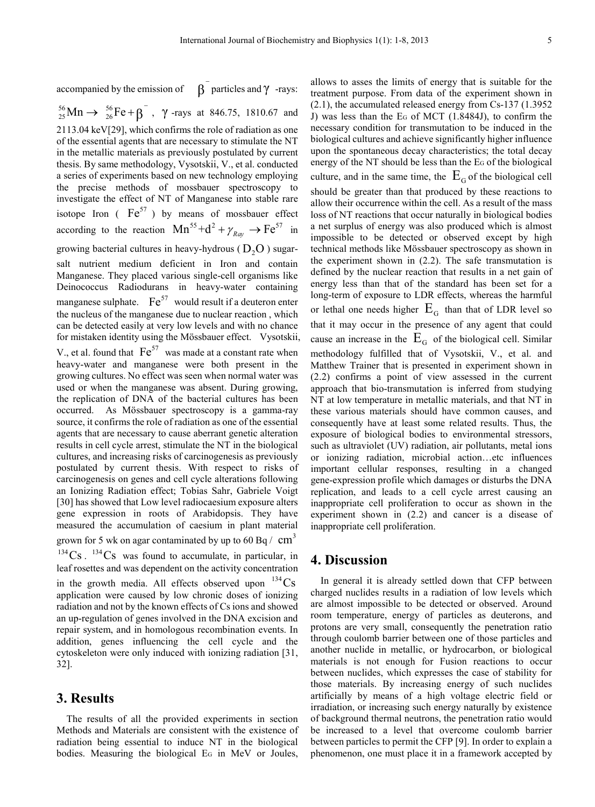accompanied by the emission of  $\beta$ <sup>-</sup> particles and  $\gamma$ -rays:

 ${}^{56}_{25} \text{Mn} \rightarrow {}^{56}_{26} \text{Fe} + \beta^-$ ,  $\gamma$ -rays at 846.75, 1810.67 and 2113.04 keV[29], which confirms the role of radiation as one of the essential agents that are necessary to stimulate the NT in the metallic materials as previously postulated by current thesis. By same methodology, Vysotskii, V., et al. conducted a series of experiments based on new technology employing the precise methods of mossbauer spectroscopy to investigate the effect of NT of Manganese into stable rare isotope Iron ( $Fe^{57}$ ) by means of mossbauer effect according to the reaction  $Mn^{55} + d^2 + \gamma_{Ray} \rightarrow Fe^{57}$  in growing bacterial cultures in heavy-hydrous ( $D_2O$ ) sugarsalt nutrient medium deficient in Iron and contain Manganese. They placed various single-cell organisms like Deinococcus Radiodurans in heavy-water containing manganese sulphate.  $Fe^{57}$  would result if a deuteron enter the nucleus of the manganese due to nuclear reaction , which can be detected easily at very low levels and with no chance for mistaken identity using the Mössbauer effect. Vysotskii, V., et al. found that  $Fe^{57}$  was made at a constant rate when heavy-water and manganese were both present in the growing cultures. No effect was seen when normal water was used or when the manganese was absent. During growing, the replication of DNA of the bacterial cultures has been occurred. As Mössbauer spectroscopy is a gamma-ray source, it confirms the role of radiation as one of the essential agents that are necessary to cause aberrant genetic alteration results in cell cycle arrest, stimulate the NT in the biological cultures, and increasing risks of carcinogenesis as previously postulated by current thesis. With respect to risks of carcinogenesis on genes and cell cycle alterations following an Ionizing Radiation effect; Tobias Sahr, Gabriele Voigt [30] has showed that Low level radiocaesium exposure alters gene expression in roots of Arabidopsis. They have measured the accumulation of caesium in plant material grown for 5 wk on agar contaminated by up to 60 Bq  $/$  cm<sup>3</sup>  $134\text{Cs}$ .  $134\text{Cs}$  was found to accumulate, in particular, in leaf rosettes and was dependent on the activity concentration in the growth media. All effects observed upon  $^{134}Cs$ application were caused by low chronic doses of ionizing radiation and not by the known effects of Cs ions and showed an up-regulation of genes involved in the DNA excision and repair system, and in homologous recombination events. In addition, genes influencing the cell cycle and the

## **3. Results**

32].

The results of all the provided experiments in section Methods and Materials are consistent with the existence of radiation being essential to induce NT in the biological bodies. Measuring the biological EG in MeV or Joules,

cytoskeleton were only induced with ionizing radiation [31,

allows to asses the limits of energy that is suitable for the treatment purpose. From data of the experiment shown in (2.1), the accumulated released energy from Cs-137 (1.3952 J) was less than the EG of MCT (1.8484J), to confirm the necessary condition for transmutation to be induced in the biological cultures and achieve significantly higher influence upon the spontaneous decay characteristics; the total decay energy of the NT should be less than the EG of the biological culture, and in the same time, the  $E<sub>G</sub>$  of the biological cell should be greater than that produced by these reactions to allow their occurrence within the cell. As a result of the mass loss of NT reactions that occur naturally in biological bodies a net surplus of energy was also produced which is almost impossible to be detected or observed except by high technical methods like Mössbauer spectroscopy as shown in the experiment shown in (2.2). The safe transmutation is defined by the nuclear reaction that results in a net gain of energy less than that of the standard has been set for a long-term of exposure to LDR effects, whereas the harmful or lethal one needs higher  $E<sub>G</sub>$  than that of LDR level so that it may occur in the presence of any agent that could cause an increase in the  $E<sub>G</sub>$  of the biological cell. Similar methodology fulfilled that of Vysotskii, V., et al. and Matthew Trainer that is presented in experiment shown in (2.2) confirms a point of view assessed in the current approach that bio-transmutation is inferred from studying NT at low temperature in metallic materials, and that NT in these various materials should have common causes, and consequently have at least some related results. Thus, the exposure of biological bodies to environmental stressors, such as ultraviolet (UV) radiation, air pollutants, metal ions or ionizing radiation, microbial action…etc influences important cellular responses, resulting in a changed gene-expression profile which damages or disturbs the DNA replication, and leads to a cell cycle arrest causing an inappropriate cell proliferation to occur as shown in the experiment shown in (2.2) and cancer is a disease of inappropriate cell proliferation.

## **4. Discussion**

In general it is already settled down that CFP between charged nuclides results in a radiation of low levels which are almost impossible to be detected or observed. Around room temperature, energy of particles as deuterons, and protons are very small, consequently the penetration ratio through coulomb barrier between one of those particles and another nuclide in metallic, or hydrocarbon, or biological materials is not enough for Fusion reactions to occur between nuclides, which expresses the case of stability for those materials. By increasing energy of such nuclides artificially by means of a high voltage electric field or irradiation, or increasing such energy naturally by existence of background thermal neutrons, the penetration ratio would be increased to a level that overcome coulomb barrier between particles to permit the CFP [9]. In order to explain a phenomenon, one must place it in a framework accepted by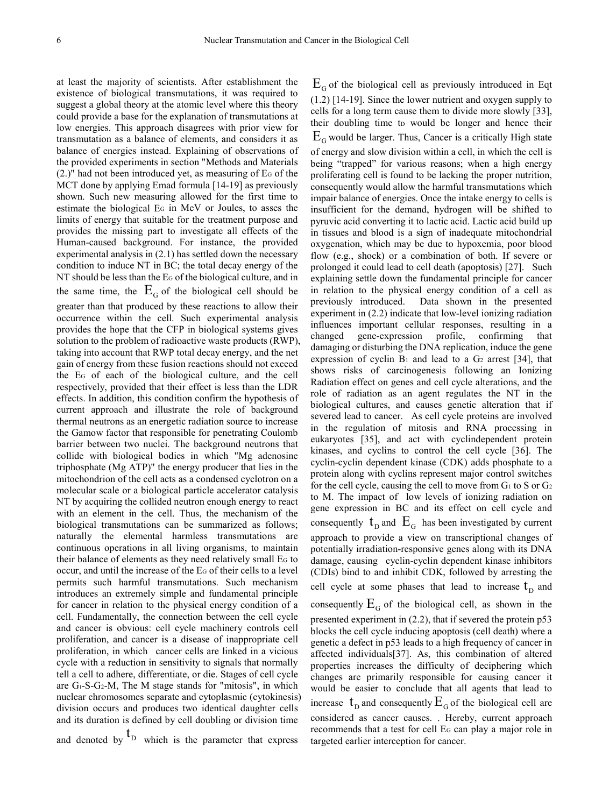at least the majority of scientists. After establishment the existence of biological transmutations, it was required to suggest a global theory at the atomic level where this theory could provide a base for the explanation of transmutations at low energies. This approach disagrees with prior view for transmutation as a balance of elements, and considers it as balance of energies instead. Explaining of observations of the provided experiments in section "Methods and Materials  $(2.)$ " had not been introduced yet, as measuring of E<sub>G</sub> of the MCT done by applying Emad formula [14-19] as previously shown. Such new measuring allowed for the first time to estimate the biological EG in MeV or Joules, to asses the limits of energy that suitable for the treatment purpose and provides the missing part to investigate all effects of the Human-caused background. For instance, the provided experimental analysis in (2.1) has settled down the necessary condition to induce NT in BC; the total decay energy of the NT should be less than the EG of the biological culture, and in the same time, the  $E<sub>G</sub>$  of the biological cell should be greater than that produced by these reactions to allow their occurrence within the cell. Such experimental analysis provides the hope that the CFP in biological systems gives solution to the problem of radioactive waste products (RWP), taking into account that RWP total decay energy, and the net gain of energy from these fusion reactions should not exceed the EG of each of the biological culture, and the cell respectively, provided that their effect is less than the LDR effects. In addition, this condition confirm the hypothesis of current approach and illustrate the role of background thermal neutrons as an energetic radiation source to increase the Gamow factor that responsible for penetrating Coulomb barrier between two nuclei. The background neutrons that collide with biological bodies in which "Mg adenosine triphosphate (Mg ATP)" the energy producer that lies in the mitochondrion of the cell acts as a condensed cyclotron on a molecular scale or a biological particle accelerator catalysis NT by acquiring the collided neutron enough energy to react with an element in the cell. Thus, the mechanism of the biological transmutations can be summarized as follows; naturally the elemental harmless transmutations are continuous operations in all living organisms, to maintain their balance of elements as they need relatively small EG to occur, and until the increase of the EG of their cells to a level permits such harmful transmutations. Such mechanism introduces an extremely simple and fundamental principle for cancer in relation to the physical energy condition of a cell. Fundamentally, the connection between the cell cycle and cancer is obvious: cell cycle machinery controls cell proliferation, and cancer is a disease of inappropriate cell proliferation, in which cancer cells are linked in a vicious cycle with a reduction in sensitivity to signals that normally tell a cell to adhere, differentiate, or die. Stages of cell cycle are  $G_1$ -S- $G_2$ -M, The M stage stands for "mitosis", in which nuclear chromosomes separate and cytoplasmic (cytokinesis) division occurs and produces two identical daughter cells and its duration is defined by cell doubling or division time

and denoted by  $L<sub>D</sub>$  which is the parameter that express

 $E_G$  of the biological cell as previously introduced in Eqt (1.2) [14-19]. Since the lower nutrient and oxygen supply to cells for a long term cause them to divide more slowly [33], their doubling time to would be longer and hence their  $E<sub>G</sub>$  would be larger. Thus, Cancer is a critically High state of energy and slow division within a cell, in which the cell is being "trapped" for various reasons; when a high energy proliferating cell is found to be lacking the proper nutrition, consequently would allow the harmful transmutations which impair balance of energies. Once the intake energy to cells is insufficient for the demand, hydrogen will be shifted to pyruvic acid converting it to lactic acid. Lactic acid build up in tissues and blood is a sign of inadequate mitochondrial oxygenation, which may be due to hypoxemia, poor blood flow (e.g., shock) or a combination of both. If severe or prolonged it could lead to cell death (apoptosis) [27]. Such explaining settle down the fundamental principle for cancer in relation to the physical energy condition of a cell as previously introduced. Data shown in the presented experiment in (2.2) indicate that low-level ionizing radiation influences important cellular responses, resulting in a changed gene-expression profile, confirming that damaging or disturbing the DNA replication, induce the gene expression of cyclin  $B_1$  and lead to a  $G_2$  arrest [34], that shows risks of carcinogenesis following an Ionizing Radiation effect on genes and cell cycle alterations, and the role of radiation as an agent regulates the NT in the biological cultures, and causes genetic alteration that if severed lead to cancer. As cell cycle proteins are involved in the regulation of mitosis and RNA processing in eukaryotes [35], and act with cyclindependent protein kinases, and cyclins to control the cell cycle [36]. The cyclin-cyclin dependent kinase (CDK) adds phosphate to a protein along with cyclins represent major control switches for the cell cycle, causing the cell to move from  $G_1$  to S or  $G_2$ to M. The impact of low levels of ionizing radiation on gene expression in BC and its effect on cell cycle and consequently  $t_p$  and  $E_q$  has been investigated by current approach to provide a view on transcriptional changes of potentially irradiation-responsive genes along with its DNA damage, causing cyclin-cyclin dependent kinase inhibitors (CDIs) bind to and inhibit CDK, followed by arresting the cell cycle at some phases that lead to increase  $t<sub>D</sub>$  and consequently  $E_G$  of the biological cell, as shown in the presented experiment in (2.2), that if severed the protein p53 blocks the cell cycle inducing apoptosis (cell death) where a genetic a defect in p53 leads to a high frequency of cancer in affected individuals[37]. As, this combination of altered properties increases the difficulty of deciphering which changes are primarily responsible for causing cancer it would be easier to conclude that all agents that lead to increase  $t_{\rm p}$  and consequently  $E_{\rm G}$  of the biological cell are considered as cancer causes. . Hereby, current approach recommends that a test for cell EG can play a major role in targeted earlier interception for cancer.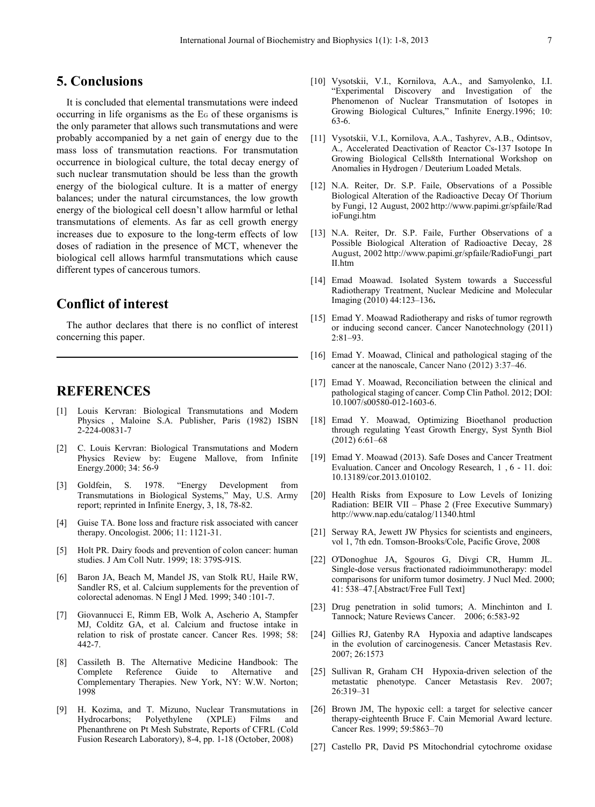# **5. Conclusions**

It is concluded that elemental transmutations were indeed occurring in life organisms as the EG of these organisms is the only parameter that allows such transmutations and were probably accompanied by a net gain of energy due to the mass loss of transmutation reactions. For transmutation occurrence in biological culture, the total decay energy of such nuclear transmutation should be less than the growth energy of the biological culture. It is a matter of energy balances; under the natural circumstances, the low growth energy of the biological cell doesn't allow harmful or lethal transmutations of elements. As far as cell growth energy increases due to exposure to the long-term effects of low doses of radiation in the presence of MCT, whenever the biological cell allows harmful transmutations which cause different types of cancerous tumors.

# **Conflict of interest**

The author declares that there is no conflict of interest concerning this paper.

# **REFERENCES**

- [1] Louis Kervran: Biological Transmutations and Modern Physics , Maloine S.A. Publisher, Paris (1982) ISBN 2-224-00831-7
- [2] C. Louis Kervran: Biological Transmutations and Modern Physics Review by: Eugene Mallove, from Infinite Energy.2000; 34: 56-9
- [3] Goldfein, S. 1978. "Energy Development from Transmutations in Biological Systems," May, U.S. Army report; reprinted in Infinite Energy, 3, 18, 78-82.
- [4] Guise TA. Bone loss and fracture risk associated with cancer therapy. Oncologist. 2006; 11: 1121-31.
- [5] Holt PR. Dairy foods and prevention of colon cancer: human studies. J Am Coll Nutr. 1999; 18: 379S-91S.
- [6] Baron JA, Beach M, Mandel JS, van Stolk RU, Haile RW, Sandler RS, et al. Calcium supplements for the prevention of colorectal adenomas. N Engl J Med. 1999; 340 :101-7.
- [7] Giovannucci E, Rimm EB, Wolk A, Ascherio A, Stampfer MJ, Colditz GA, et al. Calcium and fructose intake in relation to risk of prostate cancer. Cancer Res. 1998; 58: 442-7.
- [8] Cassileth B. The Alternative Medicine Handbook: The Complete Reference Guide to Alternative and Complementary Therapies. New York, NY: W.W. Norton; 1998
- [9] H. Kozima, and T. Mizuno, Nuclear Transmutations in Hydrocarbons; Polyethylene (XPLE) Films and Phenanthrene on Pt Mesh Substrate, Reports of CFRL (Cold Fusion Research Laboratory), 8-4, pp. 1-18 (October, 2008)
- [10] Vysotskii, V.I., Kornilova, A.A., and Samyolenko, I.I. "Experimental Discovery and Investigation of the Phenomenon of Nuclear Transmutation of Isotopes in Growing Biological Cultures," Infinite Energy.1996; 10: 63-6.
- [11] Vysotskii, V.I., Kornilova, A.A., Tashyrev, A.B., Odintsov, A., Accelerated Deactivation of Reactor Cs-137 Isotope In Growing Biological Cells8th International Workshop on Anomalies in Hydrogen / Deuterium Loaded Metals.
- [12] N.A. Reiter, Dr. S.P. Faile, Observations of a Possible Biological Alteration of the Radioactive Decay Of Thorium by Fungi, 12 August, 2002 http://www.papimi.gr/spfaile/Rad ioFungi.htm
- [13] N.A. Reiter, Dr. S.P. Faile, Further Observations of a Possible Biological Alteration of Radioactive Decay, 28 August, 2002 http://www.papimi.gr/spfaile/RadioFungi\_part II.htm
- [14] Emad Moawad. Isolated System towards a Successful Radiotherapy Treatment, Nuclear Medicine and Molecular Imaging (2010) 44:123–136**.**
- [15] Emad Y. Moawad Radiotherapy and risks of tumor regrowth or inducing second cancer. Cancer Nanotechnology (2011) 2:81–93.
- [16] Emad Y. Moawad, Clinical and pathological staging of the cancer at the nanoscale, Cancer Nano (2012) 3:37–46.
- [17] Emad Y. Moawad, Reconciliation between the clinical and pathological staging of cancer. Comp Clin Pathol. 2012; DOI: 10.1007/s00580-012-1603-6.
- [18] Emad Y. Moawad, Optimizing Bioethanol production through regulating Yeast Growth Energy, Syst Synth Biol (2012) 6:61–68
- [19] Emad Y. Moawad (2013). Safe Doses and Cancer Treatment Evaluation. Cancer and Oncology Research, 1 , 6 - 11. doi: 10.13189/cor.2013.010102.
- [20] Health Risks from Exposure to Low Levels of Ionizing Radiation: BEIR VII – Phase 2 (Free Executive Summary) http://www.nap.edu/catalog/11340.html
- [21] Serway RA, Jewett JW Physics for scientists and engineers, vol 1, 7th edn. Tomson-Brooks/Cole, Pacific Grove, 2008
- [22] O'Donoghue JA, Sgouros G, Divgi CR, Humm JL. Single-dose versus fractionated radioimmunotherapy: model comparisons for uniform tumor dosimetry. J Nucl Med. 2000; 41: 538–47.[Abstract/Free Full Text]
- [23] Drug penetration in solid tumors; A. Minchinton and I. Tannock; Nature Reviews Cancer. 2006; 6:583-92
- [24] Gillies RJ, Gatenby RA Hypoxia and adaptive landscapes in the evolution of carcinogenesis. Cancer Metastasis Rev. 2007; 26:1573
- [25] Sullivan R, Graham CH Hypoxia-driven selection of the metastatic phenotype. Cancer Metastasis Rev. 2007; 26:319–31
- [26] Brown JM, The hypoxic cell: a target for selective cancer therapy-eighteenth Bruce F. Cain Memorial Award lecture. Cancer Res. 1999; 59:5863–70
- [27] Castello PR, David PS Mitochondrial cytochrome oxidase